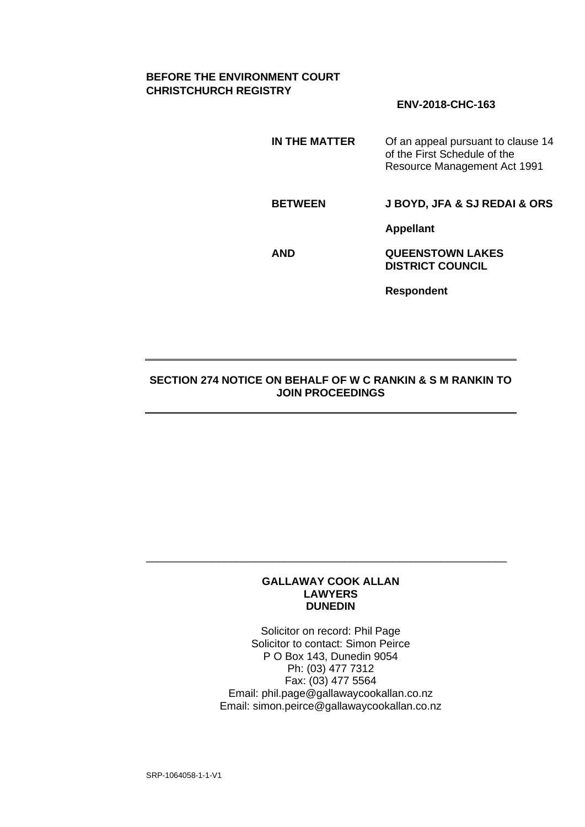# **BEFORE THE ENVIRONMENT COURT CHRISTCHURCH REGISTRY**

# **ENV-2018-CHC-163**

**IN THE MATTER** Of an appeal pursuant to clause 14 of the First Schedule of the Resource Management Act 1991

**BETWEEN J BOYD, JFA & SJ REDAI & ORS**

**Appellant**

**AND QUEENSTOWN LAKES DISTRICT COUNCIL**

**Respondent**

### **SECTION 274 NOTICE ON BEHALF OF W C RANKIN & S M RANKIN TO JOIN PROCEEDINGS**

#### **GALLAWAY COOK ALLAN LAWYERS DUNEDIN**

\_\_\_\_\_\_\_\_\_\_\_\_\_\_\_\_\_\_\_\_\_\_\_\_\_\_\_\_\_\_\_\_\_\_\_\_\_\_\_\_\_\_\_\_\_\_\_\_\_\_\_\_\_\_\_\_\_\_\_\_

Solicitor on record: Phil Page Solicitor to contact: Simon Peirce P O Box 143, Dunedin 9054 Ph: (03) 477 7312 Fax: (03) 477 5564 Email: phil.page@gallawaycookallan.co.nz Email: simon.peirce@gallawaycookallan.co.nz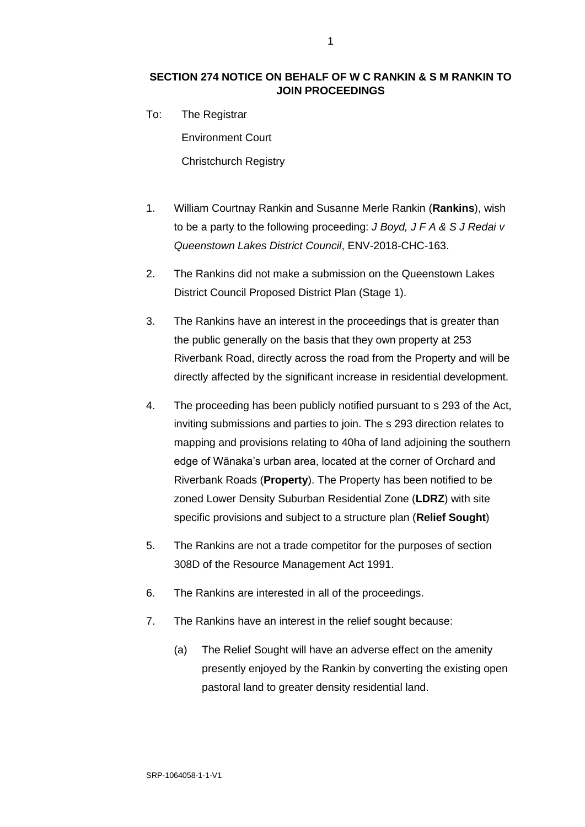# **SECTION 274 NOTICE ON BEHALF OF W C RANKIN & S M RANKIN TO JOIN PROCEEDINGS**

To: The Registrar

Environment Court

Christchurch Registry

- 1. William Courtnay Rankin and Susanne Merle Rankin (**Rankins**), wish to be a party to the following proceeding: *J Boyd, J F A & S J Redai v Queenstown Lakes District Council*, ENV-2018-CHC-163.
- 2. The Rankins did not make a submission on the Queenstown Lakes District Council Proposed District Plan (Stage 1).
- 3. The Rankins have an interest in the proceedings that is greater than the public generally on the basis that they own property at 253 Riverbank Road, directly across the road from the Property and will be directly affected by the significant increase in residential development.
- 4. The proceeding has been publicly notified pursuant to s 293 of the Act, inviting submissions and parties to join. The s 293 direction relates to mapping and provisions relating to 40ha of land adjoining the southern edge of Wānaka's urban area, located at the corner of Orchard and Riverbank Roads (**Property**). The Property has been notified to be zoned Lower Density Suburban Residential Zone (**LDRZ**) with site specific provisions and subject to a structure plan (**Relief Sought**)
- 5. The Rankins are not a trade competitor for the purposes of section 308D of the Resource Management Act 1991.
- 6. The Rankins are interested in all of the proceedings.
- 7. The Rankins have an interest in the relief sought because:
	- (a) The Relief Sought will have an adverse effect on the amenity presently enjoyed by the Rankin by converting the existing open pastoral land to greater density residential land.